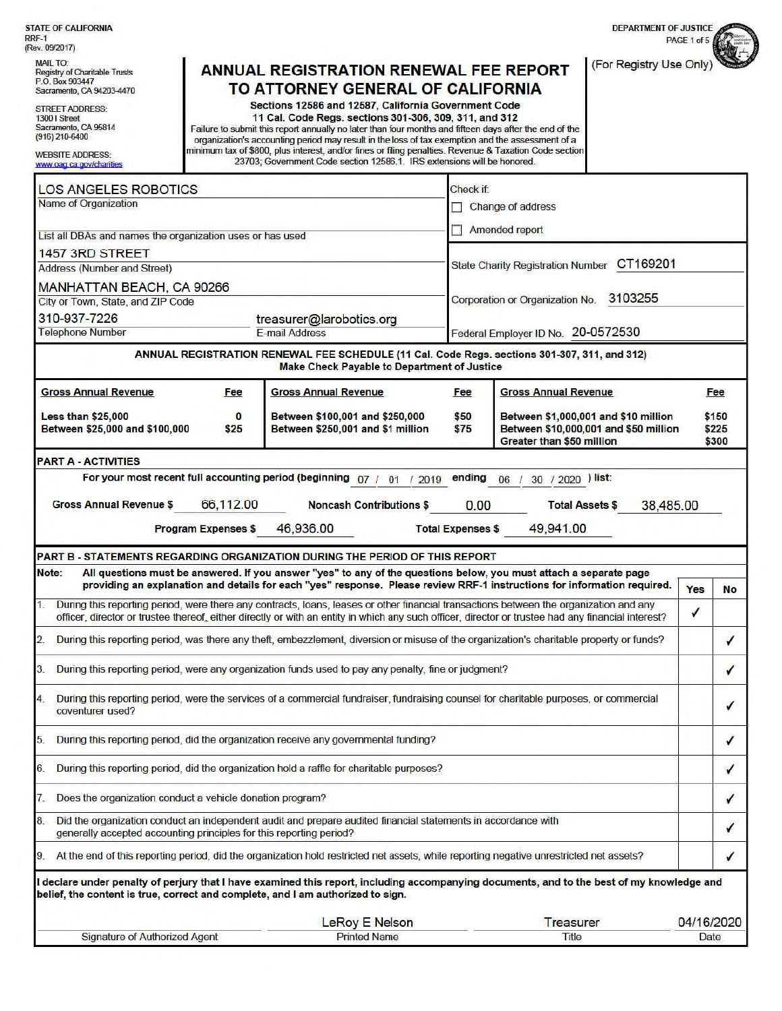| <b>STATE OF CALIFORNIA</b><br>RRF-1                                                                                                                                                        |                                                                                                                                                                                                                                                                                              |                          | <b>DEPARTMENT OF JUSTICE</b>                                                                               | PAGE 1 of 5 |                         |  |
|--------------------------------------------------------------------------------------------------------------------------------------------------------------------------------------------|----------------------------------------------------------------------------------------------------------------------------------------------------------------------------------------------------------------------------------------------------------------------------------------------|--------------------------|------------------------------------------------------------------------------------------------------------|-------------|-------------------------|--|
| (Rev. 09/2017)                                                                                                                                                                             |                                                                                                                                                                                                                                                                                              |                          |                                                                                                            |             |                         |  |
| <b>MAIL TO:</b><br>Registry of Charitable Trusts<br>P.O. Box 903447<br>Sacramento, CA 94203-4470                                                                                           | <b>ANNUAL REGISTRATION RENEWAL FEE REPORT</b><br>TO ATTORNEY GENERAL OF CALIFORNIA                                                                                                                                                                                                           |                          | (For Registry Use Only                                                                                     |             |                         |  |
| <b>STREET ADDRESS:</b>                                                                                                                                                                     | Sections 12586 and 12587, California Government Code                                                                                                                                                                                                                                         |                          |                                                                                                            |             |                         |  |
| 1300   Street<br>Sacramento, CA 95814                                                                                                                                                      | 11 Cal. Code Regs. sections 301-306, 309, 311, and 312<br>Failure to submit this report annually no later than four months and fifteen days after the end of the                                                                                                                             |                          |                                                                                                            |             |                         |  |
| (916) 210-6400                                                                                                                                                                             | organization's accounting period may result in the loss of tax exemption and the assessment of a                                                                                                                                                                                             |                          |                                                                                                            |             |                         |  |
| <b>WEBSITE ADDRESS:</b><br>www.oag.ca.gov/chanties                                                                                                                                         | minimum tax of \$800, plus interest, and/or fines or filing penalties. Revenue & Taxation Code section<br>23703; Government Code section 12586.1. IRS extensions will be honored.                                                                                                            |                          |                                                                                                            |             |                         |  |
| <b>LOS ANGELES ROBOTICS</b>                                                                                                                                                                |                                                                                                                                                                                                                                                                                              | Check if:                |                                                                                                            |             |                         |  |
| Name of Organization                                                                                                                                                                       |                                                                                                                                                                                                                                                                                              | Change of address        |                                                                                                            |             |                         |  |
| List all DBAs and names the organization uses or has used                                                                                                                                  |                                                                                                                                                                                                                                                                                              | Amended report           |                                                                                                            |             |                         |  |
| 1457 3RD STREET                                                                                                                                                                            |                                                                                                                                                                                                                                                                                              |                          |                                                                                                            |             |                         |  |
| <b>Address (Number and Street)</b>                                                                                                                                                         |                                                                                                                                                                                                                                                                                              |                          | CT169201<br>State Charity Registration Number                                                              |             |                         |  |
| MANHATTAN BEACH, CA 90266                                                                                                                                                                  |                                                                                                                                                                                                                                                                                              |                          | 3103255<br>Corporation or Organization No.                                                                 |             |                         |  |
| City or Town, State, and ZIP Code                                                                                                                                                          |                                                                                                                                                                                                                                                                                              |                          |                                                                                                            |             |                         |  |
| 310-937-7226<br>treasurer@larobotics.org<br><b>Telephone Number</b><br>E-mail Address                                                                                                      |                                                                                                                                                                                                                                                                                              |                          | Federal Employer ID No. 20-0572530                                                                         |             |                         |  |
|                                                                                                                                                                                            | ANNUAL REGISTRATION RENEWAL FEE SCHEDULE (11 Cal. Code Regs. sections 301-307, 311, and 312)                                                                                                                                                                                                 |                          |                                                                                                            |             |                         |  |
|                                                                                                                                                                                            | <b>Make Check Payable to Department of Justice</b>                                                                                                                                                                                                                                           |                          |                                                                                                            |             |                         |  |
| <b>Gross Annual Revenue</b><br>Fee                                                                                                                                                         | <b>Gross Annual Revenue</b>                                                                                                                                                                                                                                                                  | Fee                      | <b>Gross Annual Revenue</b>                                                                                |             | Fee                     |  |
| <b>Less than \$25,000</b><br>$\bf{0}$<br>Between \$25,000 and \$100,000<br>\$25                                                                                                            | Between \$100,001 and \$250,000<br>Between \$250,001 and \$1 million                                                                                                                                                                                                                         | \$50<br>\$75             | Between \$1,000,001 and \$10 million<br>Between \$10,000,001 and \$50 million<br>Greater than \$50 million |             | \$150<br>\$225<br>\$300 |  |
| <b>PART A - ACTIVITIES</b>                                                                                                                                                                 |                                                                                                                                                                                                                                                                                              |                          |                                                                                                            |             |                         |  |
|                                                                                                                                                                                            | For your most recent full accounting period (beginning 07 / 01 / 2019                                                                                                                                                                                                                        |                          | ending 06 / 30 / 2020 ) list:                                                                              |             |                         |  |
| 66,112.00<br><b>Gross Annual Revenue \$</b>                                                                                                                                                | <b>Noncash Contributions \$</b>                                                                                                                                                                                                                                                              | 0.00                     | <b>Total Assets \$</b><br>38,485.00                                                                        |             |                         |  |
| <b>Program Expenses \$</b>                                                                                                                                                                 | 46,936.00                                                                                                                                                                                                                                                                                    | <b>Total Expenses \$</b> | 49,941.00                                                                                                  |             |                         |  |
|                                                                                                                                                                                            |                                                                                                                                                                                                                                                                                              |                          |                                                                                                            |             |                         |  |
| PART B - STATEMENTS REGARDING ORGANIZATION DURING THE PERIOD OF THIS REPORT<br>Note:                                                                                                       | All questions must be answered. If you answer "yes" to any of the questions below, you must attach a separate page                                                                                                                                                                           |                          |                                                                                                            |             |                         |  |
|                                                                                                                                                                                            | providing an explanation and details for each "yes" response. Please review RRF-1 instructions for information required.                                                                                                                                                                     |                          |                                                                                                            | Yes         | No                      |  |
|                                                                                                                                                                                            | During this reporting period, were there any contracts, loans, leases or other financial transactions between the organization and any<br>officer, director or trustee thereof, either directly or with an entity in which any such officer, director or trustee had any financial interest? |                          |                                                                                                            | √           |                         |  |
| During this reporting period, was there any theft, embezzlement, diversion or misuse of the organization's charitable property or funds?<br>2.                                             |                                                                                                                                                                                                                                                                                              |                          |                                                                                                            |             | ✓                       |  |
| During this reporting period, were any organization funds used to pay any penalty, fine or judgment?<br>3.                                                                                 |                                                                                                                                                                                                                                                                                              |                          |                                                                                                            |             | ✓                       |  |
| During this reporting period, were the services of a commercial fundraiser, fundraising counsel for charitable purposes, or commercial<br>4.<br>coventurer used?                           |                                                                                                                                                                                                                                                                                              |                          |                                                                                                            |             | ✓                       |  |
| 5.                                                                                                                                                                                         | During this reporting period, did the organization receive any governmental funding?                                                                                                                                                                                                         |                          |                                                                                                            |             | ✓                       |  |
| During this reporting period, did the organization hold a raffle for charitable purposes?<br>6.                                                                                            |                                                                                                                                                                                                                                                                                              |                          |                                                                                                            |             | ✓                       |  |
| Does the organization conduct a vehicle donation program?<br>7.                                                                                                                            |                                                                                                                                                                                                                                                                                              |                          |                                                                                                            |             | ✓                       |  |
| Did the organization conduct an independent audit and prepare audited financial statements in accordance with<br>8.<br>generally accepted accounting principles for this reporting period? |                                                                                                                                                                                                                                                                                              |                          |                                                                                                            |             | ✓                       |  |
| 9.                                                                                                                                                                                         | At the end of this reporting period, did the organization hold restricted net assets, while reporting negative unrestricted net assets?                                                                                                                                                      |                          |                                                                                                            |             |                         |  |
| declare under penalty of perjury that I have examined this report, including accompanying documents, and to the best of my knowledge and                                                   |                                                                                                                                                                                                                                                                                              |                          |                                                                                                            |             |                         |  |
| belief, the content is true, correct and complete, and I am authorized to sign.                                                                                                            |                                                                                                                                                                                                                                                                                              |                          |                                                                                                            |             |                         |  |
|                                                                                                                                                                                            | LeRoy E Nelson                                                                                                                                                                                                                                                                               |                          | Treasurer                                                                                                  | 04/16/2020  |                         |  |
| <b>Signature of Authorized Agent</b>                                                                                                                                                       | <b>Printed Name</b>                                                                                                                                                                                                                                                                          |                          | Title                                                                                                      | Date        |                         |  |